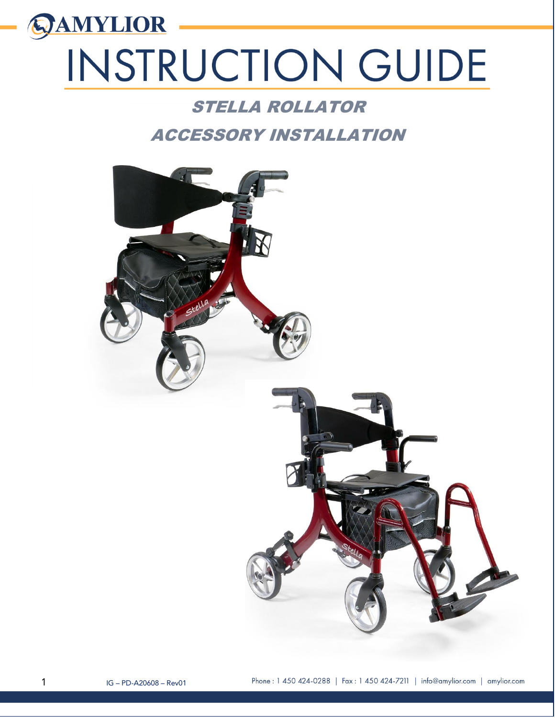# **QAMYLIOR** INSTRUCTION GUIDE

### STELLA ROLLATOR

## ACCESSORY INSTALLATION

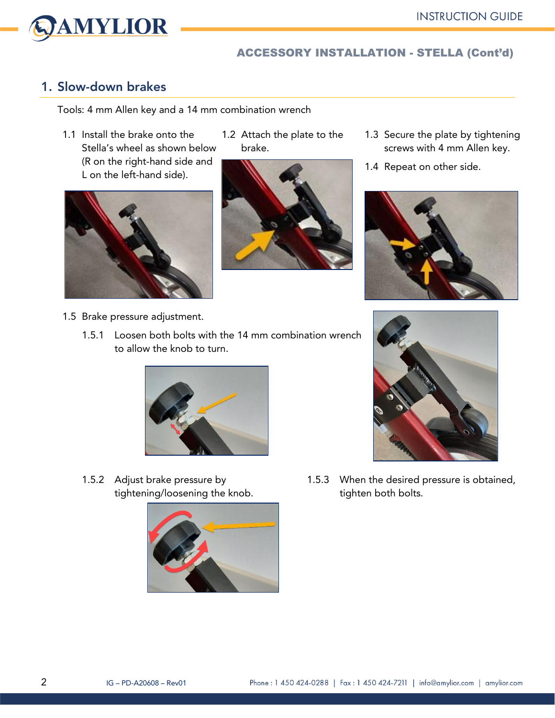

#### ACCESSORY INSTALLATION - STELLA (Cont'd)

#### 1. Slow-down brakes

Tools: 4 mm Allen key and a 14 mm combination wrench

1.1 Install the brake onto the Stella's wheel as shown below (R on the right-hand side and L on the left-hand side).



- 1.5 Brake pressure adjustment.
	- 1.5.1 Loosen both bolts with the 14 mm combination wrench to allow the knob to turn.

1.2 Attach the plate to the

brake.



1.5.2 Adjust brake pressure by tightening/loosening the knob.



- 1.3 Secure the plate by tightening screws with 4 mm Allen key.
- 1.4 Repeat on other side.





1.5.3 When the desired pressure is obtained, tighten both bolts.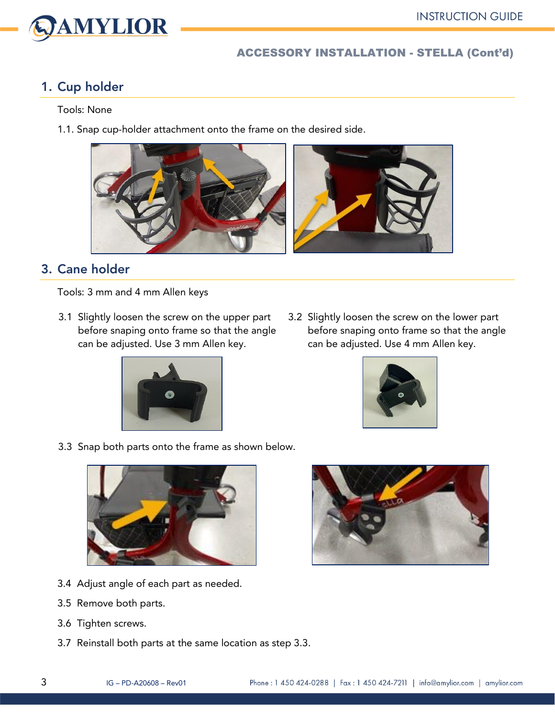# VAMYLIOR

#### ACCESSORY INSTALLATION - STELLA (Cont'd)

#### 1. Cup holder

#### Tools: None

1.1. Snap cup-holder attachment onto the frame on the desired side.



#### 3. Cane holder

Tools: 3 mm and 4 mm Allen keys

3.1 Slightly loosen the screw on the upper part before snaping onto frame so that the angle can be adjusted. Use 3 mm Allen key.



3.2 Slightly loosen the screw on the lower part before snaping onto frame so that the angle can be adjusted. Use 4 mm Allen key.



3.3 Snap both parts onto the frame as shown below.



- 3.4 Adjust angle of each part as needed.
- 3.5 Remove both parts.
- 3.6 Tighten screws.
- 3.7 Reinstall both parts at the same location as step 3.3.

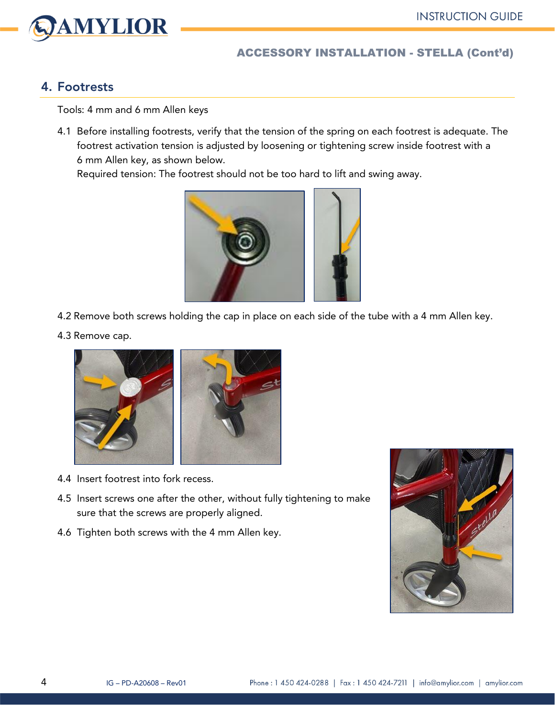



#### ACCESSORY INSTALLATION - STELLA (Cont'd)

#### 4. Footrests

Tools: 4 mm and 6 mm Allen keys

4.1 Before installing footrests, verify that the tension of the spring on each footrest is adequate. The footrest activation tension is adjusted by loosening or tightening screw inside footrest with a 6 mm Allen key, as shown below.

Required tension: The footrest should not be too hard to lift and swing away.



- 4.2 Remove both screws holding the cap in place on each side of the tube with a 4 mm Allen key.
- 4.3 Remove cap.



- 4.4 Insert footrest into fork recess.
- 4.5 Insert screws one after the other, without fully tightening to make sure that the screws are properly aligned.
- 4.6 Tighten both screws with the 4 mm Allen key.